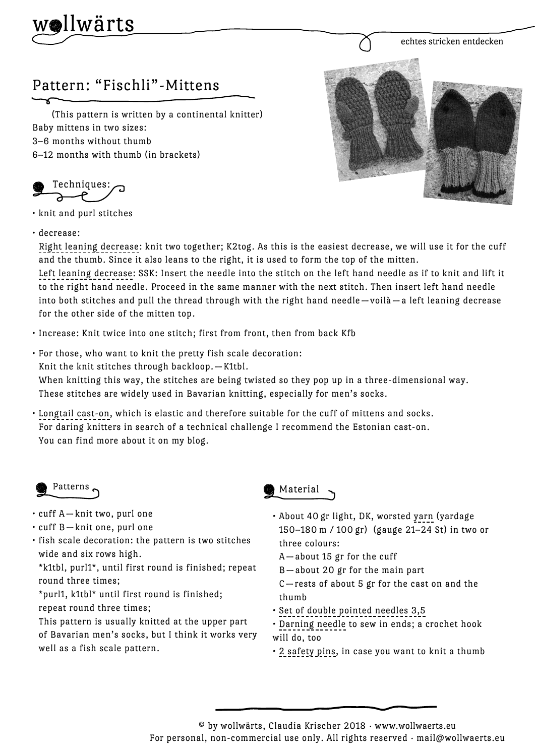

echtes stricken entdecken

## Pattern: "Fischli"-Mittens

 (This pattern is written by a continental knitter) Baby mittens in two sizes: 3–6 months without thumb 6–12 months with thumb (in brackets)

Techniques:

• knit and purl stitches

## • decrease:

Right leaning decrease: knit two together; K2tog. As this is the easiest decrease, we will use it for the cuff and the thumb. Since it also leans to the right, it is used to form the top of the mitten.

Left leaning decrease: SSK: Insert the needle into the stitch on the left hand needle as if to knit and lift it to the right hand needle. Proceed in the same manner with the next stitch. Then insert left hand needle into both stitches and pull the thread through with the right hand needle —voilà — a left leaning decrease for the other side of the mitten top.

• Increase: Knit twice into one stitch; first from front, then from back Kfb

• For those, who want to knit the pretty fish scale decoration: Knit the knit stitches through backloop. — K1tbl.

When knitting this way, the stitches are being twisted so they pop up in a three-dimensional way.

These stitches are widely used in Bavarian knitting, especially for men's socks.

• Longtail cast-on, which is elastic and therefore suitable for the cuff of mittens and socks. For daring knitters in search of a technical challenge I recommend the Estonian cast-on. You can find more about it on my blog.

## Patterns

- cuff A knit two, purl one
- $\cdot$  cuff B-knit one, purl one
- fish scale decoration: the pattern is two stitches wide and six rows high.

\*k1tbl, purl1\*, until first round is finished; repeat round three times;

\*purl1, k1tbl\* until first round is finished;

repeat round three times;

This pattern is usually knitted at the upper part of Bavarian men's socks, but I think it works very well as a fish scale pattern.



- About 40 gr light, DK, worsted yarn (yardage 150–180 m / 100 gr) (gauge 21–24 St) in two or three colours:
	- A about 15 gr for the cuff

B — about 20 gr for the main part

C — rests of about 5 gr for the cast on and the thumb

- Set of double pointed needles 3,5
- Darning needle to sew in ends; a crochet hook will do, too
- 2 safety pins, in case you want to knit a thumb

 $\degree$  by wollwärts, Claudia Krischer 2018 · www.wollwaerts.eu

For personal, non-commercial use only. All rights reserved · mail@wollwaerts.eu